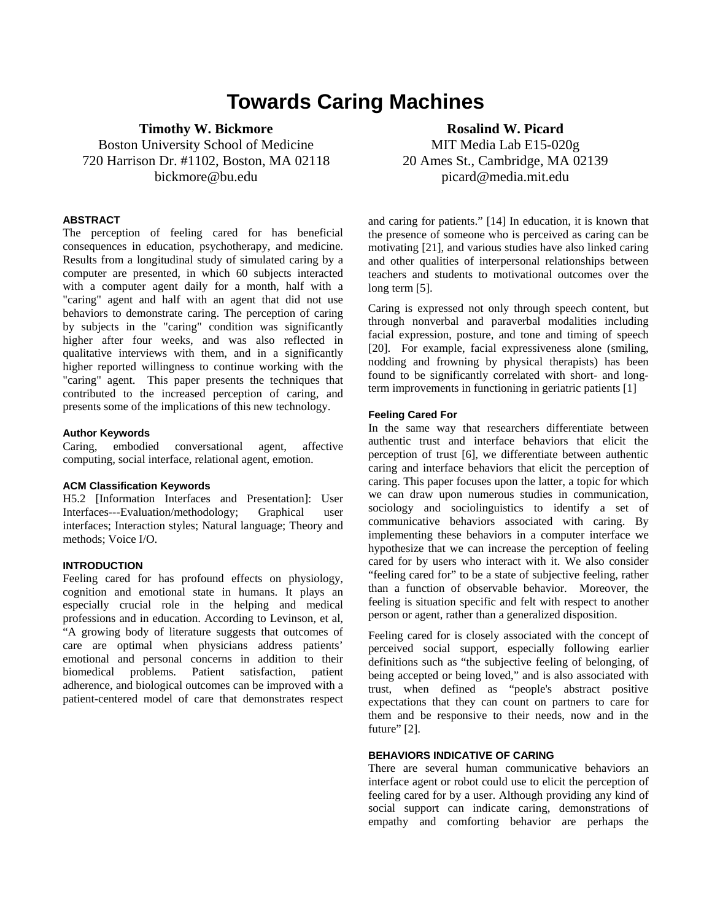# **Towards Caring Machines**

**Timothy W. Bickmore**  Boston University School of Medicine 720 Harrison Dr. #1102, Boston, MA 02118 bickmore@bu.edu

#### **ABSTRACT**

The perception of feeling cared for has beneficial consequences in education, psychotherapy, and medicine. Results from a longitudinal study of simulated caring by a computer are presented, in which 60 subjects interacted with a computer agent daily for a month, half with a "caring" agent and half with an agent that did not use behaviors to demonstrate caring. The perception of caring by subjects in the "caring" condition was significantly higher after four weeks, and was also reflected in qualitative interviews with them, and in a significantly higher reported willingness to continue working with the "caring" agent. This paper presents the techniques that contributed to the increased perception of caring, and presents some of the implications of this new technology.

#### **Author Keywords**

Caring, embodied conversational agent, affective computing, social interface, relational agent, emotion.

## **ACM Classification Keywords**

H5.2 [Information Interfaces and Presentation]: User Interfaces---Evaluation/methodology; Graphical user interfaces; Interaction styles; Natural language; Theory and methods; Voice I/O.

# **INTRODUCTION**

Feeling cared for has profound effects on physiology, cognition and emotional state in humans. It plays an especially crucial role in the helping and medical professions and in education. According to Levinson, et al, "A growing body of literature suggests that outcomes of care are optimal when physicians address patients' emotional and personal concerns in addition to their biomedical problems. Patient satisfaction, patient adherence, and biological outcomes can be improved with a patient-centered model of care that demonstrates respect **Rosalind W. Picard** 

MIT Media Lab E15-020g 20 Ames St., Cambridge, MA 02139 picard@media.mit.edu

and caring for patients." [14] In education, it is known that the presence of someone who is perceived as caring can be motivating [21], and various studies have also linked caring and other qualities of interpersonal relationships between teachers and students to motivational outcomes over the long term [5].

Caring is expressed not only through speech content, but through nonverbal and paraverbal modalities including facial expression, posture, and tone and timing of speech [20]. For example, facial expressiveness alone (smiling, nodding and frowning by physical therapists) has been found to be significantly correlated with short- and longterm improvements in functioning in geriatric patients [1]

#### **Feeling Cared For**

In the same way that researchers differentiate between authentic trust and interface behaviors that elicit the perception of trust [6], we differentiate between authentic caring and interface behaviors that elicit the perception of caring. This paper focuses upon the latter, a topic for which we can draw upon numerous studies in communication, sociology and sociolinguistics to identify a set of communicative behaviors associated with caring. By implementing these behaviors in a computer interface we hypothesize that we can increase the perception of feeling cared for by users who interact with it. We also consider "feeling cared for" to be a state of subjective feeling, rather than a function of observable behavior. Moreover, the feeling is situation specific and felt with respect to another person or agent, rather than a generalized disposition.

Feeling cared for is closely associated with the concept of perceived social support, especially following earlier definitions such as "the subjective feeling of belonging, of being accepted or being loved," and is also associated with trust, when defined as "people's abstract positive expectations that they can count on partners to care for them and be responsive to their needs, now and in the future" [2].

## **BEHAVIORS INDICATIVE OF CARING**

There are several human communicative behaviors an interface agent or robot could use to elicit the perception of feeling cared for by a user. Although providing any kind of social support can indicate caring, demonstrations of empathy and comforting behavior are perhaps the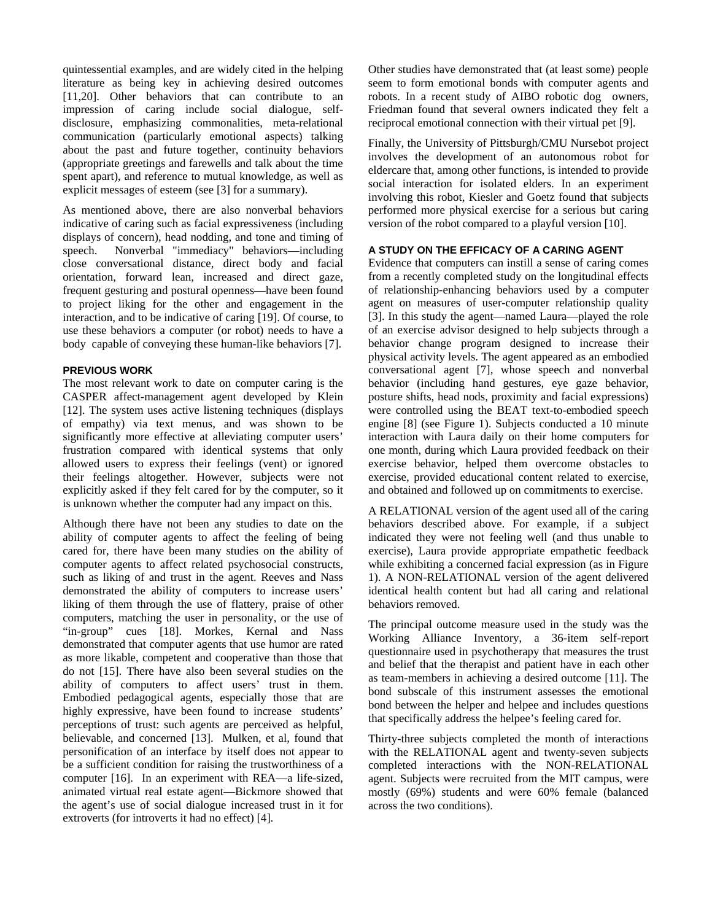quintessential examples, and are widely cited in the helping literature as being key in achieving desired outcomes [11,20]. Other behaviors that can contribute to an impression of caring include social dialogue, selfdisclosure, emphasizing commonalities, meta-relational communication (particularly emotional aspects) talking about the past and future together, continuity behaviors (appropriate greetings and farewells and talk about the time spent apart), and reference to mutual knowledge, as well as explicit messages of esteem (see [3] for a summary).

As mentioned above, there are also nonverbal behaviors indicative of caring such as facial expressiveness (including displays of concern), head nodding, and tone and timing of speech. Nonverbal "immediacy" behaviors—including close conversational distance, direct body and facial orientation, forward lean, increased and direct gaze, frequent gesturing and postural openness—have been found to project liking for the other and engagement in the interaction, and to be indicative of caring [19]. Of course, to use these behaviors a computer (or robot) needs to have a body capable of conveying these human-like behaviors [7].

# **PREVIOUS WORK**

The most relevant work to date on computer caring is the CASPER affect-management agent developed by Klein [12]. The system uses active listening techniques (displays of empathy) via text menus, and was shown to be significantly more effective at alleviating computer users' frustration compared with identical systems that only allowed users to express their feelings (vent) or ignored their feelings altogether. However, subjects were not explicitly asked if they felt cared for by the computer, so it is unknown whether the computer had any impact on this.

Although there have not been any studies to date on the ability of computer agents to affect the feeling of being cared for, there have been many studies on the ability of computer agents to affect related psychosocial constructs, such as liking of and trust in the agent. Reeves and Nass demonstrated the ability of computers to increase users' liking of them through the use of flattery, praise of other computers, matching the user in personality, or the use of "in-group" cues [18]. Morkes, Kernal and Nass demonstrated that computer agents that use humor are rated as more likable, competent and cooperative than those that do not [15]. There have also been several studies on the ability of computers to affect users' trust in them. Embodied pedagogical agents, especially those that are highly expressive, have been found to increase students' perceptions of trust: such agents are perceived as helpful, believable, and concerned [13]. Mulken, et al, found that personification of an interface by itself does not appear to be a sufficient condition for raising the trustworthiness of a computer [16]. In an experiment with REA—a life-sized, animated virtual real estate agent—Bickmore showed that the agent's use of social dialogue increased trust in it for extroverts (for introverts it had no effect) [4].

Other studies have demonstrated that (at least some) people seem to form emotional bonds with computer agents and robots. In a recent study of AIBO robotic dog owners, Friedman found that several owners indicated they felt a reciprocal emotional connection with their virtual pet [9].

Finally, the University of Pittsburgh/CMU Nursebot project involves the development of an autonomous robot for eldercare that, among other functions, is intended to provide social interaction for isolated elders. In an experiment involving this robot, Kiesler and Goetz found that subjects performed more physical exercise for a serious but caring version of the robot compared to a playful version [10].

# **A STUDY ON THE EFFICACY OF A CARING AGENT**

Evidence that computers can instill a sense of caring comes from a recently completed study on the longitudinal effects of relationship-enhancing behaviors used by a computer agent on measures of user-computer relationship quality [3]. In this study the agent—named Laura—played the role of an exercise advisor designed to help subjects through a behavior change program designed to increase their physical activity levels. The agent appeared as an embodied conversational agent [7], whose speech and nonverbal behavior (including hand gestures, eye gaze behavior, posture shifts, head nods, proximity and facial expressions) were controlled using the BEAT text-to-embodied speech engine [8] (see Figure 1). Subjects conducted a 10 minute interaction with Laura daily on their home computers for one month, during which Laura provided feedback on their exercise behavior, helped them overcome obstacles to exercise, provided educational content related to exercise, and obtained and followed up on commitments to exercise.

A RELATIONAL version of the agent used all of the caring behaviors described above. For example, if a subject indicated they were not feeling well (and thus unable to exercise), Laura provide appropriate empathetic feedback while exhibiting a concerned facial expression (as in Figure 1). A NON-RELATIONAL version of the agent delivered identical health content but had all caring and relational behaviors removed.

The principal outcome measure used in the study was the Working Alliance Inventory, a 36-item self-report questionnaire used in psychotherapy that measures the trust and belief that the therapist and patient have in each other as team-members in achieving a desired outcome [11]. The bond subscale of this instrument assesses the emotional bond between the helper and helpee and includes questions that specifically address the helpee's feeling cared for.

Thirty-three subjects completed the month of interactions with the RELATIONAL agent and twenty-seven subjects completed interactions with the NON-RELATIONAL agent. Subjects were recruited from the MIT campus, were mostly (69%) students and were 60% female (balanced across the two conditions).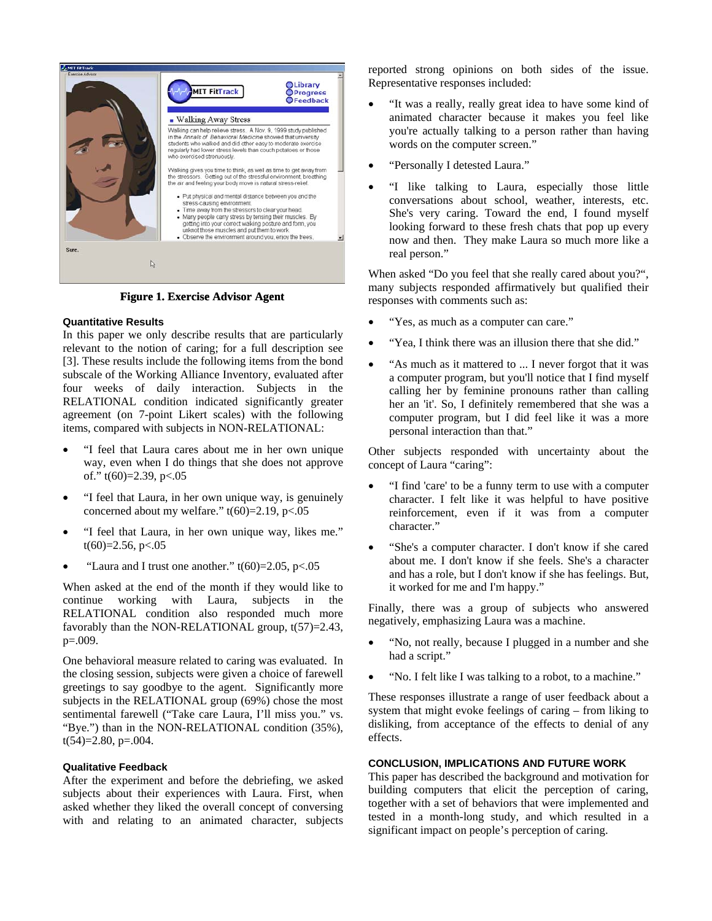

**Figure 1. Exercise Advisor Agent**

## **Quantitative Results**

In this paper we only describe results that are particularly relevant to the notion of caring; for a full description see [3]. These results include the following items from the bond subscale of the Working Alliance Inventory, evaluated after four weeks of daily interaction. Subjects in the RELATIONAL condition indicated significantly greater agreement (on 7-point Likert scales) with the following items, compared with subjects in NON-RELATIONAL:

- "I feel that Laura cares about me in her own unique way, even when I do things that she does not approve of."  $t(60)=2.39$ , p<.05
- "I feel that Laura, in her own unique way, is genuinely concerned about my welfare."  $t(60)=2.19$ , p<.05
- "I feel that Laura, in her own unique way, likes me."  $t(60)=2.56, p<.05$
- "Laura and I trust one another."  $t(60)=2.05$ , p<.05

When asked at the end of the month if they would like to continue working with Laura, subjects in the RELATIONAL condition also responded much more favorably than the NON-RELATIONAL group,  $t(57)=2.43$ , p=.009.

One behavioral measure related to caring was evaluated. In the closing session, subjects were given a choice of farewell greetings to say goodbye to the agent. Significantly more subjects in the RELATIONAL group (69%) chose the most sentimental farewell ("Take care Laura, I'll miss you." vs. "Bye.") than in the NON-RELATIONAL condition (35%),  $t(54)=2.80, p=.004.$ 

# **Qualitative Feedback**

After the experiment and before the debriefing, we asked subjects about their experiences with Laura. First, when asked whether they liked the overall concept of conversing with and relating to an animated character, subjects reported strong opinions on both sides of the issue. Representative responses included:

- "It was a really, really great idea to have some kind of animated character because it makes you feel like you're actually talking to a person rather than having words on the computer screen."
- "Personally I detested Laura."
- "I like talking to Laura, especially those little conversations about school, weather, interests, etc. She's very caring. Toward the end, I found myself looking forward to these fresh chats that pop up every now and then. They make Laura so much more like a real person."

When asked "Do you feel that she really cared about you?", many subjects responded affirmatively but qualified their responses with comments such as:

- "Yes, as much as a computer can care."
- "Yea, I think there was an illusion there that she did."
- "As much as it mattered to ... I never forgot that it was a computer program, but you'll notice that I find myself calling her by feminine pronouns rather than calling her an 'it'. So, I definitely remembered that she was a computer program, but I did feel like it was a more personal interaction than that."

Other subjects responded with uncertainty about the concept of Laura "caring":

- "I find 'care' to be a funny term to use with a computer character. I felt like it was helpful to have positive reinforcement, even if it was from a computer character."
- "She's a computer character. I don't know if she cared about me. I don't know if she feels. She's a character and has a role, but I don't know if she has feelings. But, it worked for me and I'm happy."

Finally, there was a group of subjects who answered negatively, emphasizing Laura was a machine.

- "No, not really, because I plugged in a number and she had a script."
- "No. I felt like I was talking to a robot, to a machine."

These responses illustrate a range of user feedback about a system that might evoke feelings of caring – from liking to disliking, from acceptance of the effects to denial of any effects.

# **CONCLUSION, IMPLICATIONS AND FUTURE WORK**

This paper has described the background and motivation for building computers that elicit the perception of caring, together with a set of behaviors that were implemented and tested in a month-long study, and which resulted in a significant impact on people's perception of caring.